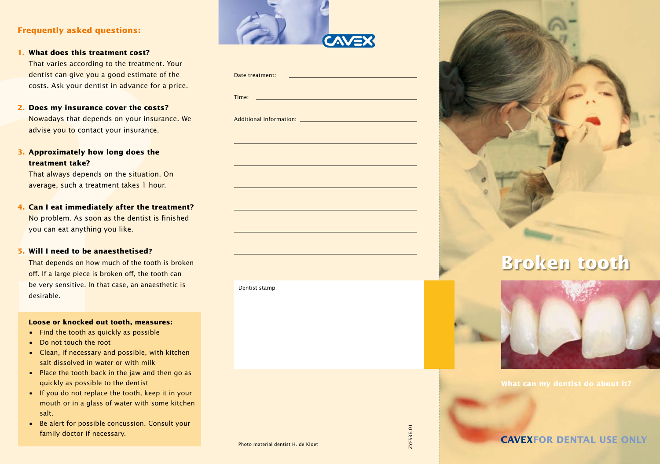# **Frequently asked questions:**

- **1. What does this treatment cost?**  That varies according to the treatment. Your dentist can give you a good estimate of the costs. Ask your dentist in advance for a price.
- **2. Does my insurance cover the costs?** Nowadays that depends on your insurance. We advise you to contact your insurance.
- **3. Approximately how long does the treatment take?**

### **5. Will I need to be anaesthetised?**

#### **Loose or knocked out tooth, measures:**

- Find the tooth as quickly as possible
- Do not touch the root
- Clean, if necessary and possible, with kitchen salt dissolved in water or with milk
- Place the tooth back in the jaw and then go as quickly as possible to the dentist
- If you do not replace the tooth, keep it in your mouth or in a glass of water with some kitchen salt.
- Be alert for possible concussion. Consult your family doctor if necessary.



| What does this treatment cost?                     |                 |                                  |
|----------------------------------------------------|-----------------|----------------------------------|
| That varies according to the treatment. Your       |                 |                                  |
| dentist can give you a good estimate of the        | Date treatment: |                                  |
| costs. Ask your dentist in advance for a price.    |                 |                                  |
|                                                    | Time:           |                                  |
| Does my insurance cover the costs?<br>2.           |                 |                                  |
| Nowadays that depends on your insurance. We        |                 |                                  |
| advise you to contact your insurance.              |                 |                                  |
| 3. Approximately how long does the                 |                 |                                  |
| treatment take?                                    |                 |                                  |
| That always depends on the situation. On           |                 |                                  |
| average, such a treatment takes 1 hour.            |                 |                                  |
|                                                    |                 |                                  |
| Can I eat immediately after the treatment?<br>4.   |                 |                                  |
| No problem. As soon as the dentist is finished     |                 |                                  |
| you can eat anything you like.                     |                 |                                  |
| 5. Will I need to be anaesthetised?                |                 |                                  |
| That depends on how much of the tooth is broken    |                 | <b>Broken tooth</b>              |
| off. If a large piece is broken off, the tooth can |                 |                                  |
| be very sensitive. In that case, an anaesthetic is | Dentist stamp   |                                  |
| desirable.                                         |                 |                                  |
| Loose or knocked out tooth, measures:              |                 |                                  |
| • Find the tooth as quickly as possible            |                 |                                  |
| Do not touch the root                              |                 |                                  |
| • Clean, if necessary and possible, with kitchen   |                 |                                  |
| salt dissolved in water or with milk               |                 |                                  |
| • Place the tooth back in the jaw and then go as   |                 |                                  |
| quickly as possible to the dentist                 |                 | What can my dentist do about it? |